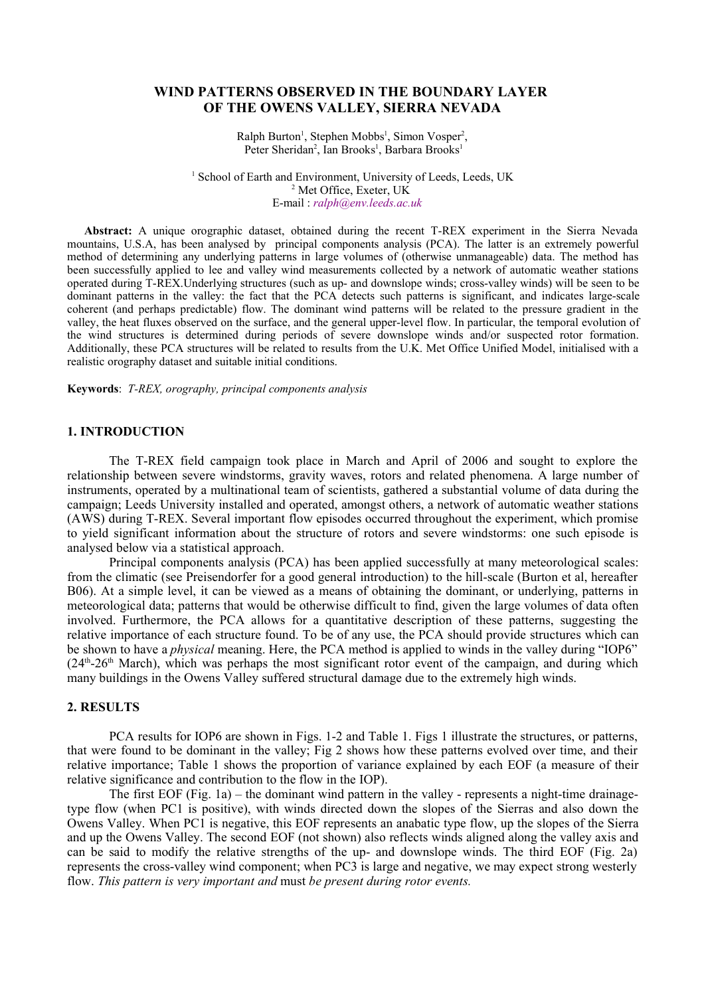# **WIND PATTERNS OBSERVED IN THE BOUNDARY LAYER OF THE OWENS VALLEY, SIERRA NEVADA**

 $Ralph$  Burton<sup>1</sup>, Stephen Mobbs<sup>1</sup>, Simon Vosper<sup>2</sup>, Peter Sheridan<sup>2</sup>, Ian Brooks<sup>1</sup>, Barbara Brooks<sup>1</sup>

<sup>1</sup> School of Earth and Environment, University of Leeds, Leeds, UK 2 Met Office, Exeter, UK E-mail : *ralph@env.leeds.ac.uk* 

**Abstract:** A unique orographic dataset, obtained during the recent T-REX experiment in the Sierra Nevada mountains, U.S.A, has been analysed by principal components analysis (PCA). The latter is an extremely powerful method of determining any underlying patterns in large volumes of (otherwise unmanageable) data. The method has been successfully applied to lee and valley wind measurements collected by a network of automatic weather stations operated during T-REX.Underlying structures (such as up- and downslope winds; cross-valley winds) will be seen to be dominant patterns in the valley: the fact that the PCA detects such patterns is significant, and indicates large-scale coherent (and perhaps predictable) flow. The dominant wind patterns will be related to the pressure gradient in the valley, the heat fluxes observed on the surface, and the general upper-level flow. In particular, the temporal evolution of the wind structures is determined during periods of severe downslope winds and/or suspected rotor formation. Additionally, these PCA structures will be related to results from the U.K. Met Office Unified Model, initialised with a realistic orography dataset and suitable initial conditions.

**Keywords**: *T-REX, orography, principal components analysis*

#### **1. INTRODUCTION**

The T-REX field campaign took place in March and April of 2006 and sought to explore the relationship between severe windstorms, gravity waves, rotors and related phenomena. A large number of instruments, operated by a multinational team of scientists, gathered a substantial volume of data during the campaign; Leeds University installed and operated, amongst others, a network of automatic weather stations (AWS) during T-REX. Several important flow episodes occurred throughout the experiment, which promise to yield significant information about the structure of rotors and severe windstorms: one such episode is analysed below via a statistical approach.

Principal components analysis (PCA) has been applied successfully at many meteorological scales: from the climatic (see Preisendorfer for a good general introduction) to the hill-scale (Burton et al, hereafter B06). At a simple level, it can be viewed as a means of obtaining the dominant, or underlying, patterns in meteorological data; patterns that would be otherwise difficult to find, given the large volumes of data often involved. Furthermore, the PCA allows for a quantitative description of these patterns, suggesting the relative importance of each structure found. To be of any use, the PCA should provide structures which can be shown to have a *physical* meaning. Here, the PCA method is applied to winds in the valley during "IOP6" (24<sup>th</sup>-26<sup>th</sup> March), which was perhaps the most significant rotor event of the campaign, and during which many buildings in the Owens Valley suffered structural damage due to the extremely high winds.

# **2. RESULTS**

PCA results for IOP6 are shown in Figs. 1-2 and Table 1. Figs 1 illustrate the structures, or patterns, that were found to be dominant in the valley; Fig 2 shows how these patterns evolved over time, and their relative importance; Table 1 shows the proportion of variance explained by each EOF (a measure of their relative significance and contribution to the flow in the IOP).

The first EOF (Fig. 1a) – the dominant wind pattern in the valley - represents a night-time drainagetype flow (when PC1 is positive), with winds directed down the slopes of the Sierras and also down the Owens Valley. When PC1 is negative, this EOF represents an anabatic type flow, up the slopes of the Sierra and up the Owens Valley. The second EOF (not shown) also reflects winds aligned along the valley axis and can be said to modify the relative strengths of the up- and downslope winds. The third EOF (Fig. 2a) represents the cross-valley wind component; when PC3 is large and negative, we may expect strong westerly flow. *This pattern is very important and* must *be present during rotor events.*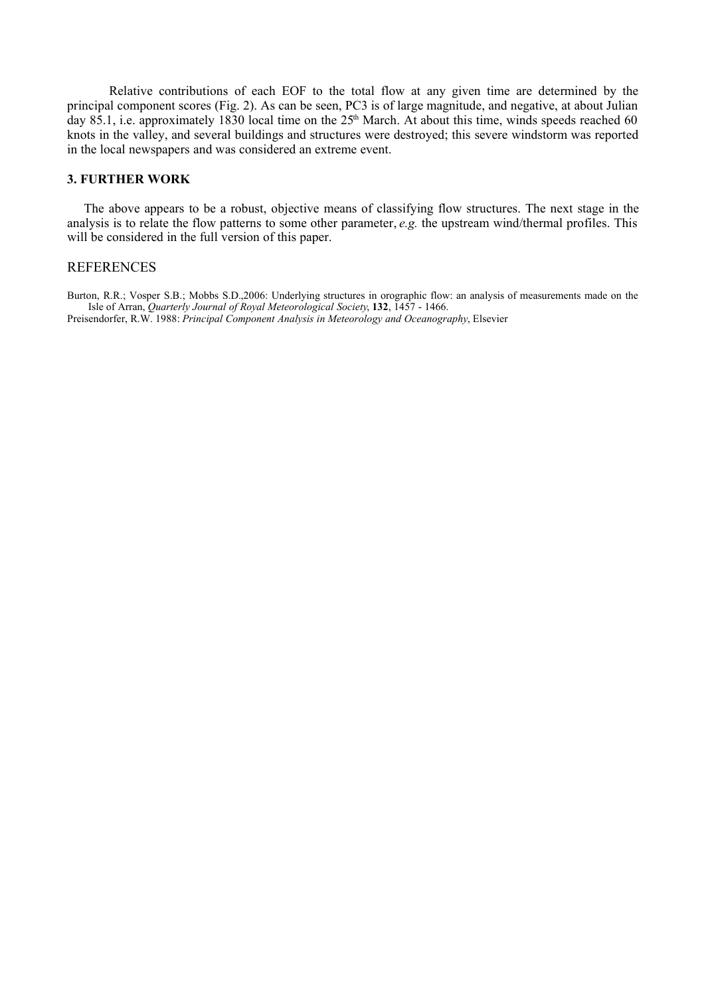Relative contributions of each EOF to the total flow at any given time are determined by the principal component scores (Fig. 2). As can be seen, PC3 is of large magnitude, and negative, at about Julian day 85.1, i.e. approximately 1830 local time on the 25<sup>th</sup> March. At about this time, winds speeds reached 60 knots in the valley, and several buildings and structures were destroyed; this severe windstorm was reported in the local newspapers and was considered an extreme event.

#### **3. FURTHER WORK**

The above appears to be a robust, objective means of classifying flow structures. The next stage in the analysis is to relate the flow patterns to some other parameter, *e.g.* the upstream wind/thermal profiles. This will be considered in the full version of this paper.

### **REFERENCES**

Burton, R.R.; Vosper S.B.; Mobbs S.D.,2006: Underlying structures in orographic flow: an analysis of measurements made on the Isle of Arran, *Quarterly Journal of Royal Meteorological Society*, **132**, 1457 - 1466. Preisendorfer, R.W. 1988: *Principal Component Analysis in Meteorology and Oceanography*, Elsevier